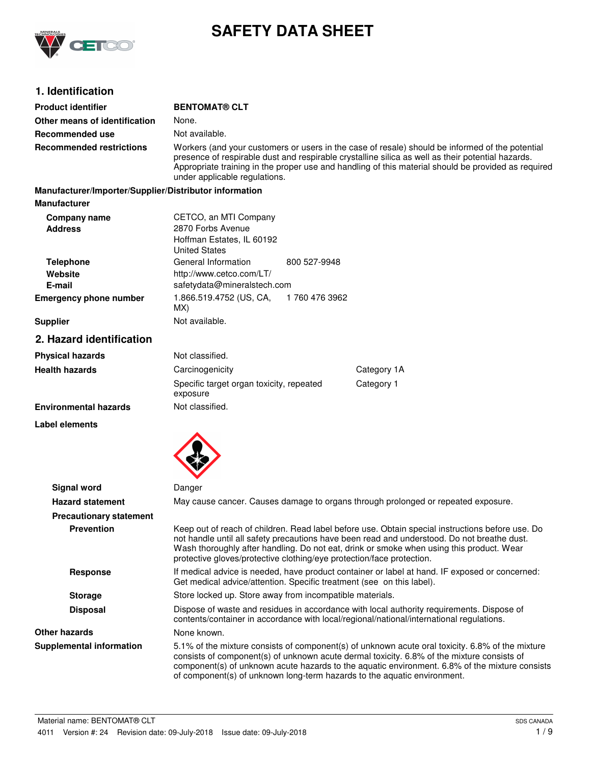

# **SAFETY DATA SHEET**

# **1. Identification**

| <b>Product identifier</b>                              | <b>BENTOMAT® CLT</b>                                                                                                                                                                                                                                                                                                                         |                                                                                                                                                                                                                                                                                                  |  |
|--------------------------------------------------------|----------------------------------------------------------------------------------------------------------------------------------------------------------------------------------------------------------------------------------------------------------------------------------------------------------------------------------------------|--------------------------------------------------------------------------------------------------------------------------------------------------------------------------------------------------------------------------------------------------------------------------------------------------|--|
| Other means of identification                          | None.                                                                                                                                                                                                                                                                                                                                        |                                                                                                                                                                                                                                                                                                  |  |
| <b>Recommended use</b>                                 | Not available.                                                                                                                                                                                                                                                                                                                               |                                                                                                                                                                                                                                                                                                  |  |
| <b>Recommended restrictions</b>                        | Workers (and your customers or users in the case of resale) should be informed of the potential<br>presence of respirable dust and respirable crystalline silica as well as their potential hazards.<br>Appropriate training in the proper use and handling of this material should be provided as required<br>under applicable regulations. |                                                                                                                                                                                                                                                                                                  |  |
| Manufacturer/Importer/Supplier/Distributor information |                                                                                                                                                                                                                                                                                                                                              |                                                                                                                                                                                                                                                                                                  |  |
| <b>Manufacturer</b>                                    |                                                                                                                                                                                                                                                                                                                                              |                                                                                                                                                                                                                                                                                                  |  |
| Company name<br><b>Address</b>                         | CETCO, an MTI Company<br>2870 Forbs Avenue<br>Hoffman Estates, IL 60192<br><b>United States</b>                                                                                                                                                                                                                                              |                                                                                                                                                                                                                                                                                                  |  |
| <b>Telephone</b><br>Website<br>E-mail                  | General Information<br>800 527-9948<br>http://www.cetco.com/LT/<br>safetydata@mineralstech.com                                                                                                                                                                                                                                               |                                                                                                                                                                                                                                                                                                  |  |
| <b>Emergency phone number</b>                          | 1.866.519.4752 (US, CA,<br>1 760 476 3962<br>MX)                                                                                                                                                                                                                                                                                             |                                                                                                                                                                                                                                                                                                  |  |
| <b>Supplier</b>                                        | Not available.                                                                                                                                                                                                                                                                                                                               |                                                                                                                                                                                                                                                                                                  |  |
| 2. Hazard identification                               |                                                                                                                                                                                                                                                                                                                                              |                                                                                                                                                                                                                                                                                                  |  |
| <b>Physical hazards</b>                                | Not classified.                                                                                                                                                                                                                                                                                                                              |                                                                                                                                                                                                                                                                                                  |  |
| <b>Health hazards</b>                                  | Carcinogenicity                                                                                                                                                                                                                                                                                                                              | Category 1A                                                                                                                                                                                                                                                                                      |  |
|                                                        | Specific target organ toxicity, repeated<br>exposure                                                                                                                                                                                                                                                                                         | Category 1                                                                                                                                                                                                                                                                                       |  |
| <b>Environmental hazards</b>                           | Not classified.                                                                                                                                                                                                                                                                                                                              |                                                                                                                                                                                                                                                                                                  |  |
| <b>Label elements</b>                                  |                                                                                                                                                                                                                                                                                                                                              |                                                                                                                                                                                                                                                                                                  |  |
| <b>Signal word</b>                                     | Danger                                                                                                                                                                                                                                                                                                                                       |                                                                                                                                                                                                                                                                                                  |  |
| <b>Hazard statement</b>                                |                                                                                                                                                                                                                                                                                                                                              | May cause cancer. Causes damage to organs through prolonged or repeated exposure.                                                                                                                                                                                                                |  |
| <b>Precautionary statement</b>                         |                                                                                                                                                                                                                                                                                                                                              |                                                                                                                                                                                                                                                                                                  |  |
| <b>Prevention</b>                                      | protective gloves/protective clothing/eye protection/face protection.                                                                                                                                                                                                                                                                        | Keep out of reach of children. Read label before use, Obtain special instructions before use. Do<br>not handle until all safety precautions have been read and understood. Do not breathe dust.<br>Wash thoroughly after handling. Do not eat, drink or smoke when using this product. Wear      |  |
| <b>Response</b>                                        | If medical advice is needed, have product container or label at hand. IF exposed or concerned:<br>Get medical advice/attention. Specific treatment (see on this label).                                                                                                                                                                      |                                                                                                                                                                                                                                                                                                  |  |
| <b>Storage</b>                                         | Store locked up. Store away from incompatible materials.                                                                                                                                                                                                                                                                                     |                                                                                                                                                                                                                                                                                                  |  |
| <b>Disposal</b>                                        | Dispose of waste and residues in accordance with local authority requirements. Dispose of<br>contents/container in accordance with local/regional/national/international regulations.                                                                                                                                                        |                                                                                                                                                                                                                                                                                                  |  |
| <b>Other hazards</b>                                   | None known.                                                                                                                                                                                                                                                                                                                                  |                                                                                                                                                                                                                                                                                                  |  |
| <b>Supplemental information</b>                        | of component(s) of unknown long-term hazards to the aquatic environment.                                                                                                                                                                                                                                                                     | 5.1% of the mixture consists of component(s) of unknown acute oral toxicity. 6.8% of the mixture<br>consists of component(s) of unknown acute dermal toxicity. 6.8% of the mixture consists of<br>component(s) of unknown acute hazards to the aquatic environment. 6.8% of the mixture consists |  |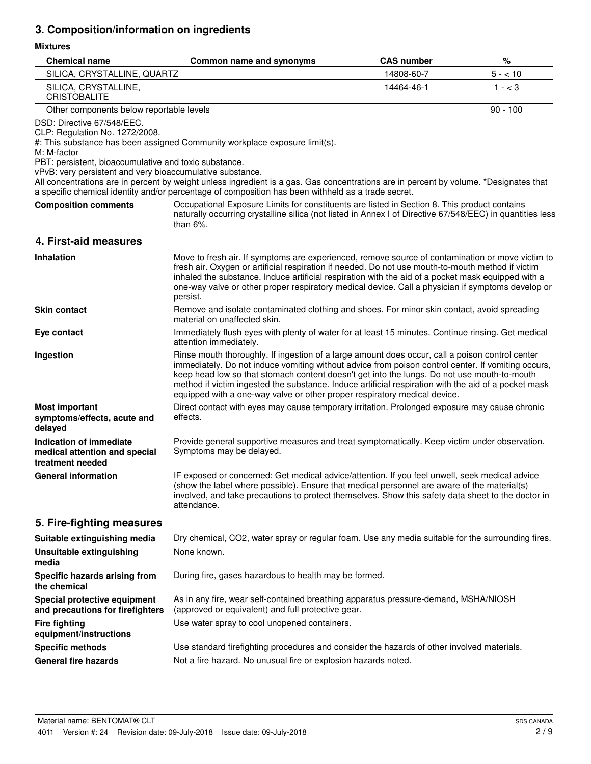# **3. Composition/information on ingredients**

### **Mixtures**

| <b>Chemical name</b>                                                                                                                                                                              | Common name and synonyms                                                                                                                                                                                                                                                                                                                                                                                                                                                                  | <b>CAS number</b> | %          |
|---------------------------------------------------------------------------------------------------------------------------------------------------------------------------------------------------|-------------------------------------------------------------------------------------------------------------------------------------------------------------------------------------------------------------------------------------------------------------------------------------------------------------------------------------------------------------------------------------------------------------------------------------------------------------------------------------------|-------------------|------------|
| SILICA, CRYSTALLINE, QUARTZ                                                                                                                                                                       |                                                                                                                                                                                                                                                                                                                                                                                                                                                                                           | 14808-60-7        | $5 - 10$   |
| SILICA, CRYSTALLINE,<br><b>CRISTOBALITE</b>                                                                                                                                                       |                                                                                                                                                                                                                                                                                                                                                                                                                                                                                           | 14464-46-1        | $1 - < 3$  |
| Other components below reportable levels                                                                                                                                                          |                                                                                                                                                                                                                                                                                                                                                                                                                                                                                           |                   | $90 - 100$ |
| DSD: Directive 67/548/EEC.<br>CLP: Regulation No. 1272/2008.<br>M: M-factor<br>PBT: persistent, bioaccumulative and toxic substance.<br>vPvB: very persistent and very bioaccumulative substance. | #: This substance has been assigned Community workplace exposure limit(s).                                                                                                                                                                                                                                                                                                                                                                                                                |                   |            |
|                                                                                                                                                                                                   | All concentrations are in percent by weight unless ingredient is a gas. Gas concentrations are in percent by volume. *Designates that<br>a specific chemical identity and/or percentage of composition has been withheld as a trade secret.                                                                                                                                                                                                                                               |                   |            |
| <b>Composition comments</b>                                                                                                                                                                       | Occupational Exposure Limits for constituents are listed in Section 8. This product contains<br>naturally occurring crystalline silica (not listed in Annex I of Directive 67/548/EEC) in quantities less<br>than $6\%$ .                                                                                                                                                                                                                                                                 |                   |            |
| 4. First-aid measures                                                                                                                                                                             |                                                                                                                                                                                                                                                                                                                                                                                                                                                                                           |                   |            |
| <b>Inhalation</b>                                                                                                                                                                                 | Move to fresh air. If symptoms are experienced, remove source of contamination or move victim to<br>fresh air. Oxygen or artificial respiration if needed. Do not use mouth-to-mouth method if victim<br>inhaled the substance. Induce artificial respiration with the aid of a pocket mask equipped with a<br>one-way valve or other proper respiratory medical device. Call a physician if symptoms develop or<br>persist.                                                              |                   |            |
| <b>Skin contact</b>                                                                                                                                                                               | Remove and isolate contaminated clothing and shoes. For minor skin contact, avoid spreading<br>material on unaffected skin.                                                                                                                                                                                                                                                                                                                                                               |                   |            |
| Eye contact                                                                                                                                                                                       | Immediately flush eyes with plenty of water for at least 15 minutes. Continue rinsing. Get medical<br>attention immediately.                                                                                                                                                                                                                                                                                                                                                              |                   |            |
| Ingestion                                                                                                                                                                                         | Rinse mouth thoroughly. If ingestion of a large amount does occur, call a poison control center<br>immediately. Do not induce vomiting without advice from poison control center. If vomiting occurs,<br>keep head low so that stomach content doesn't get into the lungs. Do not use mouth-to-mouth<br>method if victim ingested the substance. Induce artificial respiration with the aid of a pocket mask<br>equipped with a one-way valve or other proper respiratory medical device. |                   |            |
| <b>Most important</b><br>symptoms/effects, acute and<br>delayed                                                                                                                                   | Direct contact with eyes may cause temporary irritation. Prolonged exposure may cause chronic<br>effects.                                                                                                                                                                                                                                                                                                                                                                                 |                   |            |
| Indication of immediate<br>medical attention and special<br>treatment needed                                                                                                                      | Provide general supportive measures and treat symptomatically. Keep victim under observation.<br>Symptoms may be delayed.                                                                                                                                                                                                                                                                                                                                                                 |                   |            |
| <b>General information</b>                                                                                                                                                                        | IF exposed or concerned: Get medical advice/attention. If you feel unwell, seek medical advice<br>(show the label where possible). Ensure that medical personnel are aware of the material(s)<br>involved, and take precautions to protect themselves. Show this safety data sheet to the doctor in<br>attendance.                                                                                                                                                                        |                   |            |
| 5. Fire-fighting measures                                                                                                                                                                         |                                                                                                                                                                                                                                                                                                                                                                                                                                                                                           |                   |            |
| Suitable extinguishing media                                                                                                                                                                      | Dry chemical, CO2, water spray or regular foam. Use any media suitable for the surrounding fires.                                                                                                                                                                                                                                                                                                                                                                                         |                   |            |
| <b>Unsuitable extinguishing</b><br>media                                                                                                                                                          | None known.                                                                                                                                                                                                                                                                                                                                                                                                                                                                               |                   |            |
| Specific hazards arising from<br>the chemical                                                                                                                                                     | During fire, gases hazardous to health may be formed.                                                                                                                                                                                                                                                                                                                                                                                                                                     |                   |            |
| Special protective equipment<br>and precautions for firefighters                                                                                                                                  | As in any fire, wear self-contained breathing apparatus pressure-demand, MSHA/NIOSH<br>(approved or equivalent) and full protective gear.                                                                                                                                                                                                                                                                                                                                                 |                   |            |
| <b>Fire fighting</b><br>equipment/instructions                                                                                                                                                    | Use water spray to cool unopened containers.                                                                                                                                                                                                                                                                                                                                                                                                                                              |                   |            |
| <b>Specific methods</b>                                                                                                                                                                           | Use standard firefighting procedures and consider the hazards of other involved materials.                                                                                                                                                                                                                                                                                                                                                                                                |                   |            |
| <b>General fire hazards</b>                                                                                                                                                                       | Not a fire hazard. No unusual fire or explosion hazards noted.                                                                                                                                                                                                                                                                                                                                                                                                                            |                   |            |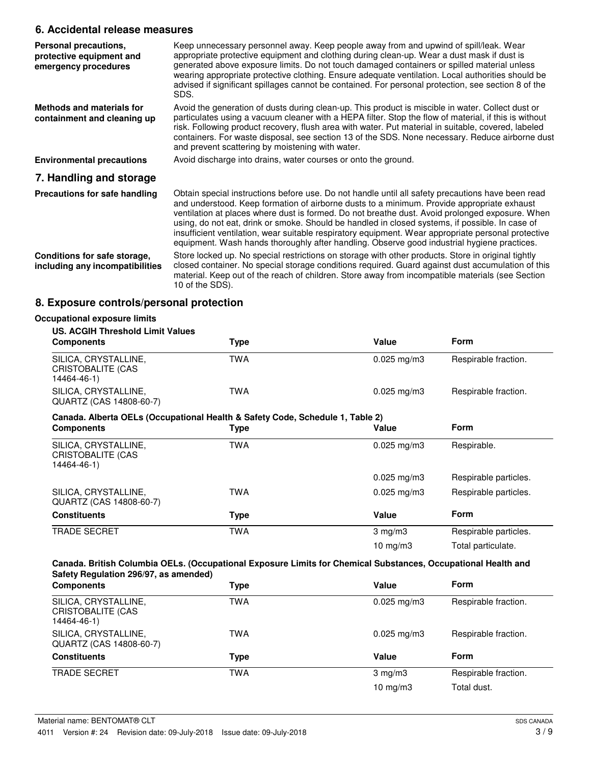### **6. Accidental release measures**

| Personal precautions,<br>protective equipment and<br>emergency procedures | Keep unnecessary personnel away. Keep people away from and upwind of spill/leak. Wear<br>appropriate protective equipment and clothing during clean-up. Wear a dust mask if dust is<br>generated above exposure limits. Do not touch damaged containers or spilled material unless<br>wearing appropriate protective clothing. Ensure adequate ventilation. Local authorities should be<br>advised if significant spillages cannot be contained. For personal protection, see section 8 of the<br>SDS.                                                                                                      |
|---------------------------------------------------------------------------|-------------------------------------------------------------------------------------------------------------------------------------------------------------------------------------------------------------------------------------------------------------------------------------------------------------------------------------------------------------------------------------------------------------------------------------------------------------------------------------------------------------------------------------------------------------------------------------------------------------|
| Methods and materials for<br>containment and cleaning up                  | Avoid the generation of dusts during clean-up. This product is miscible in water. Collect dust or<br>particulates using a vacuum cleaner with a HEPA filter. Stop the flow of material, if this is without<br>risk. Following product recovery, flush area with water. Put material in suitable, covered, labeled<br>containers. For waste disposal, see section 13 of the SDS. None necessary. Reduce airborne dust<br>and prevent scattering by moistening with water.                                                                                                                                    |
| <b>Environmental precautions</b>                                          | Avoid discharge into drains, water courses or onto the ground.                                                                                                                                                                                                                                                                                                                                                                                                                                                                                                                                              |
| 7. Handling and storage                                                   |                                                                                                                                                                                                                                                                                                                                                                                                                                                                                                                                                                                                             |
| Precautions for safe handling                                             | Obtain special instructions before use. Do not handle until all safety precautions have been read<br>and understood. Keep formation of airborne dusts to a minimum. Provide appropriate exhaust<br>ventilation at places where dust is formed. Do not breathe dust. Avoid prolonged exposure. When<br>using, do not eat, drink or smoke. Should be handled in closed systems, if possible. In case of<br>insufficient ventilation, wear suitable respiratory equipment. Wear appropriate personal protective<br>equipment. Wash hands thoroughly after handling. Observe good industrial hygiene practices. |
| Conditions for safe storage,<br>including any incompatibilities           | Store locked up. No special restrictions on storage with other products. Store in original tightly<br>closed container. No special storage conditions required. Guard against dust accumulation of this<br>material. Keep out of the reach of children. Store away from incompatible materials (see Section<br>10 of the SDS).                                                                                                                                                                                                                                                                              |

# **8. Exposure controls/personal protection**

| <b>US. ACGIH Threshold Limit Values</b>                                       |            |                         |                       |
|-------------------------------------------------------------------------------|------------|-------------------------|-----------------------|
| <b>Components</b>                                                             | Type       | Value                   | Form                  |
| SILICA, CRYSTALLINE,<br><b>CRISTOBALITE (CAS</b><br>14464-46-1)               | <b>TWA</b> | $0.025$ mg/m3           | Respirable fraction.  |
| SILICA, CRYSTALLINE,<br>QUARTZ (CAS 14808-60-7)                               | <b>TWA</b> | $0.025 \,\mathrm{mg/m}$ | Respirable fraction.  |
| Canada. Alberta OELs (Occupational Health & Safety Code, Schedule 1, Table 2) |            |                         |                       |
| <b>Components</b>                                                             | Type       | Value                   | Form                  |
| SILICA, CRYSTALLINE,<br>CRISTOBALITE (CAS<br>14464-46-1)                      | <b>TWA</b> | $0.025$ mg/m3           | Respirable.           |
|                                                                               |            | $0.025$ mg/m3           | Respirable particles. |
| SILICA, CRYSTALLINE,<br>QUARTZ (CAS 14808-60-7)                               | <b>TWA</b> | $0.025$ mg/m3           | Respirable particles. |
| <b>Constituents</b>                                                           | Type       | Value                   | Form                  |
| <b>TRADE SECRET</b>                                                           | <b>TWA</b> | $3$ mg/m $3$            | Respirable particles. |
|                                                                               |            | 10 mg/m $3$             | Total particulate.    |

| SILICA, CRYSTALLINE,<br><b>TWA</b><br>Respirable fraction.<br>$0.025 \,\mathrm{mg/m}$<br>CRISTOBALITE (CAS<br>14464-46-1)<br>SILICA, CRYSTALLINE,<br>TWA<br>Respirable fraction.<br>$0.025 \text{ mg/m}$ 3<br>QUARTZ (CAS 14808-60-7)<br><b>Form</b><br><b>Constituents</b><br>Value<br>Type<br><b>TRADE SECRET</b><br>TWA<br>Respirable fraction.<br>$3 \text{ mg/m}$<br>$10 \text{ mg/m}$<br>Total dust. | <b>Components</b> | Type | Value | <b>Form</b> |
|------------------------------------------------------------------------------------------------------------------------------------------------------------------------------------------------------------------------------------------------------------------------------------------------------------------------------------------------------------------------------------------------------------|-------------------|------|-------|-------------|
|                                                                                                                                                                                                                                                                                                                                                                                                            |                   |      |       |             |
|                                                                                                                                                                                                                                                                                                                                                                                                            |                   |      |       |             |
|                                                                                                                                                                                                                                                                                                                                                                                                            |                   |      |       |             |
|                                                                                                                                                                                                                                                                                                                                                                                                            |                   |      |       |             |
|                                                                                                                                                                                                                                                                                                                                                                                                            |                   |      |       |             |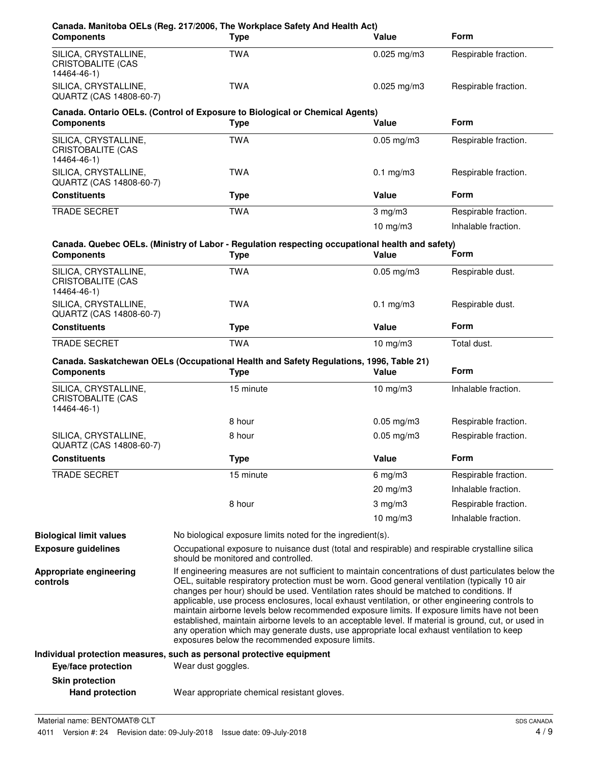| <b>Components</b>                                               | Canada. Manitoba OELs (Reg. 217/2006, The Workplace Safety And Health Act)<br><b>Type</b>                                                                                                                                                                                                                                                                                                                                                                                                                                                                                                                                                                                                                                                                    | Value           | <b>Form</b>          |
|-----------------------------------------------------------------|--------------------------------------------------------------------------------------------------------------------------------------------------------------------------------------------------------------------------------------------------------------------------------------------------------------------------------------------------------------------------------------------------------------------------------------------------------------------------------------------------------------------------------------------------------------------------------------------------------------------------------------------------------------------------------------------------------------------------------------------------------------|-----------------|----------------------|
| SILICA, CRYSTALLINE,<br>CRISTOBALITE (CAS<br>14464-46-1)        | <b>TWA</b>                                                                                                                                                                                                                                                                                                                                                                                                                                                                                                                                                                                                                                                                                                                                                   | $0.025$ mg/m3   | Respirable fraction. |
| SILICA, CRYSTALLINE,<br>QUARTZ (CAS 14808-60-7)                 | <b>TWA</b>                                                                                                                                                                                                                                                                                                                                                                                                                                                                                                                                                                                                                                                                                                                                                   | $0.025$ mg/m3   | Respirable fraction. |
| <b>Components</b>                                               | Canada. Ontario OELs. (Control of Exposure to Biological or Chemical Agents)<br><b>Type</b>                                                                                                                                                                                                                                                                                                                                                                                                                                                                                                                                                                                                                                                                  | Value           | <b>Form</b>          |
| SILICA, CRYSTALLINE,<br><b>CRISTOBALITE (CAS</b><br>14464-46-1) | <b>TWA</b>                                                                                                                                                                                                                                                                                                                                                                                                                                                                                                                                                                                                                                                                                                                                                   | $0.05$ mg/m $3$ | Respirable fraction. |
| SILICA, CRYSTALLINE,<br>QUARTZ (CAS 14808-60-7)                 | <b>TWA</b>                                                                                                                                                                                                                                                                                                                                                                                                                                                                                                                                                                                                                                                                                                                                                   | $0.1$ mg/m $3$  | Respirable fraction. |
| <b>Constituents</b>                                             | <b>Type</b>                                                                                                                                                                                                                                                                                                                                                                                                                                                                                                                                                                                                                                                                                                                                                  | Value           | <b>Form</b>          |
| <b>TRADE SECRET</b>                                             | <b>TWA</b>                                                                                                                                                                                                                                                                                                                                                                                                                                                                                                                                                                                                                                                                                                                                                   | $3$ mg/m $3$    | Respirable fraction. |
|                                                                 |                                                                                                                                                                                                                                                                                                                                                                                                                                                                                                                                                                                                                                                                                                                                                              | $10$ mg/m $3$   | Inhalable fraction.  |
| <b>Components</b>                                               | Canada. Quebec OELs. (Ministry of Labor - Regulation respecting occupational health and safety)<br><b>Type</b>                                                                                                                                                                                                                                                                                                                                                                                                                                                                                                                                                                                                                                               | Value           | Form                 |
| SILICA, CRYSTALLINE,<br><b>CRISTOBALITE (CAS</b><br>14464-46-1) | <b>TWA</b>                                                                                                                                                                                                                                                                                                                                                                                                                                                                                                                                                                                                                                                                                                                                                   | $0.05$ mg/m $3$ | Respirable dust.     |
| SILICA, CRYSTALLINE,<br>QUARTZ (CAS 14808-60-7)                 | <b>TWA</b>                                                                                                                                                                                                                                                                                                                                                                                                                                                                                                                                                                                                                                                                                                                                                   | $0.1$ mg/m $3$  | Respirable dust.     |
| <b>Constituents</b>                                             | <b>Type</b>                                                                                                                                                                                                                                                                                                                                                                                                                                                                                                                                                                                                                                                                                                                                                  | Value           | <b>Form</b>          |
| TRADE SECRET                                                    | <b>TWA</b>                                                                                                                                                                                                                                                                                                                                                                                                                                                                                                                                                                                                                                                                                                                                                   | $10$ mg/m $3$   | Total dust.          |
| <b>Components</b>                                               | Canada. Saskatchewan OELs (Occupational Health and Safety Regulations, 1996, Table 21)<br><b>Type</b>                                                                                                                                                                                                                                                                                                                                                                                                                                                                                                                                                                                                                                                        | Value           | <b>Form</b>          |
| SILICA, CRYSTALLINE,<br><b>CRISTOBALITE (CAS</b><br>14464-46-1) | 15 minute                                                                                                                                                                                                                                                                                                                                                                                                                                                                                                                                                                                                                                                                                                                                                    | $10$ mg/m $3$   | Inhalable fraction.  |
|                                                                 | 8 hour                                                                                                                                                                                                                                                                                                                                                                                                                                                                                                                                                                                                                                                                                                                                                       | $0.05$ mg/m3    | Respirable fraction. |
| SILICA, CRYSTALLINE,<br>QUARTZ (CAS 14808-60-7)                 | 8 hour                                                                                                                                                                                                                                                                                                                                                                                                                                                                                                                                                                                                                                                                                                                                                       | $0.05$ mg/m $3$ | Respirable fraction. |
| <b>Constituents</b>                                             | <b>Type</b>                                                                                                                                                                                                                                                                                                                                                                                                                                                                                                                                                                                                                                                                                                                                                  | Value           | Form                 |
| <b>TRADE SECRET</b>                                             | 15 minute                                                                                                                                                                                                                                                                                                                                                                                                                                                                                                                                                                                                                                                                                                                                                    | $6$ mg/m $3$    | Respirable fraction. |
|                                                                 |                                                                                                                                                                                                                                                                                                                                                                                                                                                                                                                                                                                                                                                                                                                                                              | 20 mg/m3        | Inhalable fraction.  |
|                                                                 | 8 hour                                                                                                                                                                                                                                                                                                                                                                                                                                                                                                                                                                                                                                                                                                                                                       | $3$ mg/m $3$    | Respirable fraction. |
|                                                                 |                                                                                                                                                                                                                                                                                                                                                                                                                                                                                                                                                                                                                                                                                                                                                              | 10 $mg/m3$      | Inhalable fraction.  |
| <b>Biological limit values</b>                                  | No biological exposure limits noted for the ingredient(s).                                                                                                                                                                                                                                                                                                                                                                                                                                                                                                                                                                                                                                                                                                   |                 |                      |
| <b>Exposure guidelines</b>                                      | Occupational exposure to nuisance dust (total and respirable) and respirable crystalline silica<br>should be monitored and controlled.                                                                                                                                                                                                                                                                                                                                                                                                                                                                                                                                                                                                                       |                 |                      |
| Appropriate engineering<br>controls                             | If engineering measures are not sufficient to maintain concentrations of dust particulates below the<br>OEL, suitable respiratory protection must be worn. Good general ventilation (typically 10 air<br>changes per hour) should be used. Ventilation rates should be matched to conditions. If<br>applicable, use process enclosures, local exhaust ventilation, or other engineering controls to<br>maintain airborne levels below recommended exposure limits. If exposure limits have not been<br>established, maintain airborne levels to an acceptable level. If material is ground, cut, or used in<br>any operation which may generate dusts, use appropriate local exhaust ventilation to keep<br>exposures below the recommended exposure limits. |                 |                      |
|                                                                 | Individual protection measures, such as personal protective equipment                                                                                                                                                                                                                                                                                                                                                                                                                                                                                                                                                                                                                                                                                        |                 |                      |
| Eye/face protection                                             | Wear dust goggles.                                                                                                                                                                                                                                                                                                                                                                                                                                                                                                                                                                                                                                                                                                                                           |                 |                      |
| <b>Skin protection</b>                                          |                                                                                                                                                                                                                                                                                                                                                                                                                                                                                                                                                                                                                                                                                                                                                              |                 |                      |
| <b>Hand protection</b>                                          | Wear appropriate chemical resistant gloves.                                                                                                                                                                                                                                                                                                                                                                                                                                                                                                                                                                                                                                                                                                                  |                 |                      |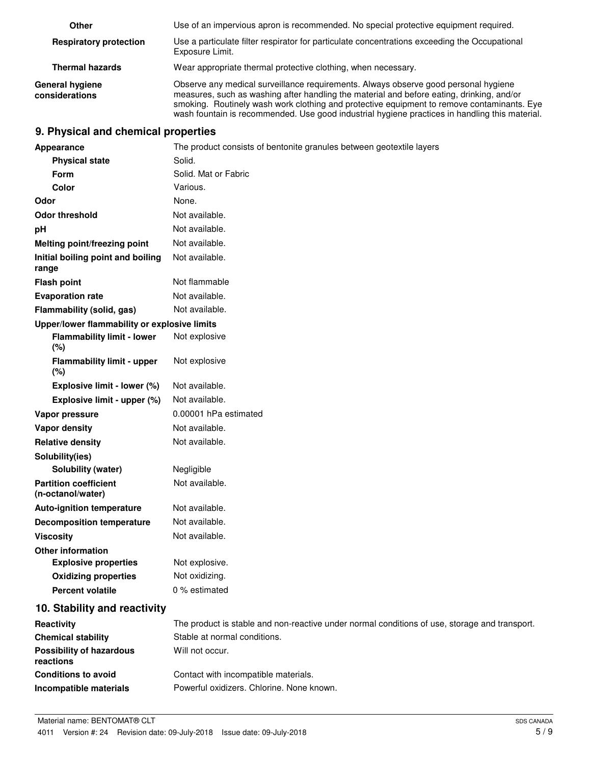| Other                                    | Use of an impervious apron is recommended. No special protective equipment required.                                                                                                                                                                                                                                                                                             |
|------------------------------------------|----------------------------------------------------------------------------------------------------------------------------------------------------------------------------------------------------------------------------------------------------------------------------------------------------------------------------------------------------------------------------------|
| <b>Respiratory protection</b>            | Use a particulate filter respirator for particulate concentrations exceeding the Occupational<br>Exposure Limit.                                                                                                                                                                                                                                                                 |
| <b>Thermal hazards</b>                   | Wear appropriate thermal protective clothing, when necessary.                                                                                                                                                                                                                                                                                                                    |
| <b>General hygiene</b><br>considerations | Observe any medical surveillance requirements. Always observe good personal hygiene<br>measures, such as washing after handling the material and before eating, drinking, and/or<br>smoking. Routinely wash work clothing and protective equipment to remove contaminants. Eye<br>wash fountain is recommended. Use good industrial hygiene practices in handling this material. |

### **9. Physical and chemical properties**

| Appearance                                        | The product consists of bentonite granules between geotextile layers                          |
|---------------------------------------------------|-----------------------------------------------------------------------------------------------|
| <b>Physical state</b>                             | Solid.                                                                                        |
| Form                                              | Solid. Mat or Fabric                                                                          |
| Color                                             | Various.                                                                                      |
| Odor                                              | None.                                                                                         |
| <b>Odor threshold</b>                             | Not available.                                                                                |
| pH                                                | Not available.                                                                                |
| Melting point/freezing point                      | Not available.                                                                                |
| Initial boiling point and boiling<br>range        | Not available.                                                                                |
| <b>Flash point</b>                                | Not flammable                                                                                 |
| <b>Evaporation rate</b>                           | Not available.                                                                                |
| Flammability (solid, gas)                         | Not available.                                                                                |
| Upper/lower flammability or explosive limits      |                                                                                               |
| <b>Flammability limit - lower</b><br>(%)          | Not explosive                                                                                 |
| <b>Flammability limit - upper</b><br>(%)          | Not explosive                                                                                 |
| Explosive limit - lower (%)                       | Not available.                                                                                |
| Explosive limit - upper (%)                       | Not available.                                                                                |
| Vapor pressure                                    | 0.00001 hPa estimated                                                                         |
| Vapor density                                     | Not available.                                                                                |
| <b>Relative density</b>                           | Not available.                                                                                |
| Solubility(ies)                                   |                                                                                               |
| Solubility (water)                                | Negligible                                                                                    |
| <b>Partition coefficient</b><br>(n-octanol/water) | Not available.                                                                                |
| <b>Auto-ignition temperature</b>                  | Not available.                                                                                |
| <b>Decomposition temperature</b>                  | Not available.                                                                                |
| <b>Viscosity</b>                                  | Not available.                                                                                |
| <b>Other information</b>                          |                                                                                               |
| <b>Explosive properties</b>                       | Not explosive.                                                                                |
| <b>Oxidizing properties</b>                       | Not oxidizing.                                                                                |
| <b>Percent volatile</b>                           | 0 % estimated                                                                                 |
| 10. Stability and reactivity                      |                                                                                               |
| Reactivity                                        | The product is stable and non-reactive under normal conditions of use, storage and transport. |
| <b>Chemical stability</b>                         | Stable at normal conditions.                                                                  |
| <b>Possibility of hazardous</b><br>reactions      | Will not occur.                                                                               |
| <b>Conditions to avoid</b>                        | Contact with incompatible materials.                                                          |
| Incompatible materials                            | Powerful oxidizers. Chlorine. None known.                                                     |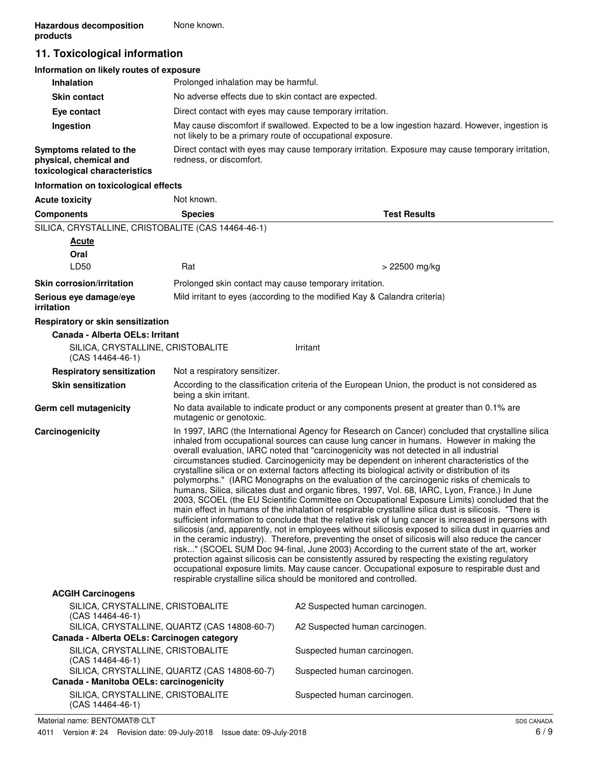## **11. Toxicological information**

| Information on likely routes of exposure                                           |                                                                                                                                                               |
|------------------------------------------------------------------------------------|---------------------------------------------------------------------------------------------------------------------------------------------------------------|
| <b>Inhalation</b>                                                                  | Prolonged inhalation may be harmful.                                                                                                                          |
| <b>Skin contact</b>                                                                | No adverse effects due to skin contact are expected.                                                                                                          |
| Eye contact                                                                        | Direct contact with eyes may cause temporary irritation.                                                                                                      |
| Ingestion                                                                          | May cause discomfort if swallowed. Expected to be a low ingestion hazard. However, ingestion is<br>not likely to be a primary route of occupational exposure. |
| Symptoms related to the<br>physical, chemical and<br>toxicological characteristics | Direct contact with eyes may cause temporary irritation. Exposure may cause temporary irritation,<br>redness, or discomfort.                                  |
| Information on toxicological effects                                               |                                                                                                                                                               |

| <b>Acute toxicity</b>                                       | Not known.                                             |                                                                                                                                                                                                                                                                                                                                                                                                                                                                                                                                                                                                                                                                                                                                                                                                                                                                                                                                                                                                                                                                                                                                                                                                                                                                                                                                                                                                                                                                                                                                                                                                    |
|-------------------------------------------------------------|--------------------------------------------------------|----------------------------------------------------------------------------------------------------------------------------------------------------------------------------------------------------------------------------------------------------------------------------------------------------------------------------------------------------------------------------------------------------------------------------------------------------------------------------------------------------------------------------------------------------------------------------------------------------------------------------------------------------------------------------------------------------------------------------------------------------------------------------------------------------------------------------------------------------------------------------------------------------------------------------------------------------------------------------------------------------------------------------------------------------------------------------------------------------------------------------------------------------------------------------------------------------------------------------------------------------------------------------------------------------------------------------------------------------------------------------------------------------------------------------------------------------------------------------------------------------------------------------------------------------------------------------------------------------|
| <b>Components</b>                                           | <b>Species</b>                                         | <b>Test Results</b>                                                                                                                                                                                                                                                                                                                                                                                                                                                                                                                                                                                                                                                                                                                                                                                                                                                                                                                                                                                                                                                                                                                                                                                                                                                                                                                                                                                                                                                                                                                                                                                |
| SILICA, CRYSTALLINE, CRISTOBALITE (CAS 14464-46-1)          |                                                        |                                                                                                                                                                                                                                                                                                                                                                                                                                                                                                                                                                                                                                                                                                                                                                                                                                                                                                                                                                                                                                                                                                                                                                                                                                                                                                                                                                                                                                                                                                                                                                                                    |
| <b>Acute</b>                                                |                                                        |                                                                                                                                                                                                                                                                                                                                                                                                                                                                                                                                                                                                                                                                                                                                                                                                                                                                                                                                                                                                                                                                                                                                                                                                                                                                                                                                                                                                                                                                                                                                                                                                    |
| Oral                                                        |                                                        |                                                                                                                                                                                                                                                                                                                                                                                                                                                                                                                                                                                                                                                                                                                                                                                                                                                                                                                                                                                                                                                                                                                                                                                                                                                                                                                                                                                                                                                                                                                                                                                                    |
| LD50                                                        | Rat                                                    | > 22500 mg/kg                                                                                                                                                                                                                                                                                                                                                                                                                                                                                                                                                                                                                                                                                                                                                                                                                                                                                                                                                                                                                                                                                                                                                                                                                                                                                                                                                                                                                                                                                                                                                                                      |
| <b>Skin corrosion/irritation</b>                            | Prolonged skin contact may cause temporary irritation. |                                                                                                                                                                                                                                                                                                                                                                                                                                                                                                                                                                                                                                                                                                                                                                                                                                                                                                                                                                                                                                                                                                                                                                                                                                                                                                                                                                                                                                                                                                                                                                                                    |
| Serious eye damage/eye<br>irritation                        |                                                        | Mild irritant to eyes (according to the modified Kay & Calandra criteria)                                                                                                                                                                                                                                                                                                                                                                                                                                                                                                                                                                                                                                                                                                                                                                                                                                                                                                                                                                                                                                                                                                                                                                                                                                                                                                                                                                                                                                                                                                                          |
| Respiratory or skin sensitization                           |                                                        |                                                                                                                                                                                                                                                                                                                                                                                                                                                                                                                                                                                                                                                                                                                                                                                                                                                                                                                                                                                                                                                                                                                                                                                                                                                                                                                                                                                                                                                                                                                                                                                                    |
| Canada - Alberta OELs: Irritant                             |                                                        |                                                                                                                                                                                                                                                                                                                                                                                                                                                                                                                                                                                                                                                                                                                                                                                                                                                                                                                                                                                                                                                                                                                                                                                                                                                                                                                                                                                                                                                                                                                                                                                                    |
| SILICA, CRYSTALLINE, CRISTOBALITE<br>(CAS 14464-46-1)       |                                                        | Irritant                                                                                                                                                                                                                                                                                                                                                                                                                                                                                                                                                                                                                                                                                                                                                                                                                                                                                                                                                                                                                                                                                                                                                                                                                                                                                                                                                                                                                                                                                                                                                                                           |
| <b>Respiratory sensitization</b>                            | Not a respiratory sensitizer.                          |                                                                                                                                                                                                                                                                                                                                                                                                                                                                                                                                                                                                                                                                                                                                                                                                                                                                                                                                                                                                                                                                                                                                                                                                                                                                                                                                                                                                                                                                                                                                                                                                    |
| <b>Skin sensitization</b>                                   | being a skin irritant.                                 | According to the classification criteria of the European Union, the product is not considered as                                                                                                                                                                                                                                                                                                                                                                                                                                                                                                                                                                                                                                                                                                                                                                                                                                                                                                                                                                                                                                                                                                                                                                                                                                                                                                                                                                                                                                                                                                   |
| Germ cell mutagenicity                                      | mutagenic or genotoxic.                                | No data available to indicate product or any components present at greater than 0.1% are                                                                                                                                                                                                                                                                                                                                                                                                                                                                                                                                                                                                                                                                                                                                                                                                                                                                                                                                                                                                                                                                                                                                                                                                                                                                                                                                                                                                                                                                                                           |
| Carcinogenicity                                             |                                                        | In 1997, IARC (the International Agency for Research on Cancer) concluded that crystalline silica<br>inhaled from occupational sources can cause lung cancer in humans. However in making the<br>overall evaluation, IARC noted that "carcinogenicity was not detected in all industrial<br>circumstances studied. Carcinogenicity may be dependent on inherent characteristics of the<br>crystalline silica or on external factors affecting its biological activity or distribution of its<br>polymorphs." (IARC Monographs on the evaluation of the carcinogenic risks of chemicals to<br>humans, Silica, silicates dust and organic fibres, 1997, Vol. 68, IARC, Lyon, France.) In June<br>2003, SCOEL (the EU Scientific Committee on Occupational Exposure Limits) concluded that the<br>main effect in humans of the inhalation of respirable crystalline silica dust is silicosis. "There is<br>sufficient information to conclude that the relative risk of lung cancer is increased in persons with<br>silicosis (and, apparently, not in employees without silicosis exposed to silica dust in quarries and<br>in the ceramic industry). Therefore, preventing the onset of silicosis will also reduce the cancer<br>risk" (SCOEL SUM Doc 94-final, June 2003) According to the current state of the art, worker<br>protection against silicosis can be consistently assured by respecting the existing regulatory<br>occupational exposure limits. May cause cancer. Occupational exposure to respirable dust and<br>respirable crystalline silica should be monitored and controlled. |
| <b>ACGIH Carcinogens</b>                                    |                                                        |                                                                                                                                                                                                                                                                                                                                                                                                                                                                                                                                                                                                                                                                                                                                                                                                                                                                                                                                                                                                                                                                                                                                                                                                                                                                                                                                                                                                                                                                                                                                                                                                    |
| SILICA, CRYSTALLINE, CRISTOBALITE<br>$(CAS 14464 - 46 - 1)$ |                                                        | A2 Suspected human carcinogen.                                                                                                                                                                                                                                                                                                                                                                                                                                                                                                                                                                                                                                                                                                                                                                                                                                                                                                                                                                                                                                                                                                                                                                                                                                                                                                                                                                                                                                                                                                                                                                     |
| Canada - Alberta OELs: Carcinogen category                  | SILICA, CRYSTALLINE, QUARTZ (CAS 14808-60-7)           | A2 Suspected human carcinogen.                                                                                                                                                                                                                                                                                                                                                                                                                                                                                                                                                                                                                                                                                                                                                                                                                                                                                                                                                                                                                                                                                                                                                                                                                                                                                                                                                                                                                                                                                                                                                                     |
| SILICA, CRYSTALLINE, CRISTOBALITE                           |                                                        | Suspected human carcinogen.                                                                                                                                                                                                                                                                                                                                                                                                                                                                                                                                                                                                                                                                                                                                                                                                                                                                                                                                                                                                                                                                                                                                                                                                                                                                                                                                                                                                                                                                                                                                                                        |
| $(CAS 14464-46-1)$                                          | SILICA, CRYSTALLINE, QUARTZ (CAS 14808-60-7)           | Suspected human carcinogen.                                                                                                                                                                                                                                                                                                                                                                                                                                                                                                                                                                                                                                                                                                                                                                                                                                                                                                                                                                                                                                                                                                                                                                                                                                                                                                                                                                                                                                                                                                                                                                        |
| Canada - Manitoba OELs: carcinogenicity                     |                                                        |                                                                                                                                                                                                                                                                                                                                                                                                                                                                                                                                                                                                                                                                                                                                                                                                                                                                                                                                                                                                                                                                                                                                                                                                                                                                                                                                                                                                                                                                                                                                                                                                    |
| SILICA, CRYSTALLINE, CRISTOBALITE                           |                                                        | Suspected human carcinogen.                                                                                                                                                                                                                                                                                                                                                                                                                                                                                                                                                                                                                                                                                                                                                                                                                                                                                                                                                                                                                                                                                                                                                                                                                                                                                                                                                                                                                                                                                                                                                                        |

Material name: BENTOMAT® CLT

(CAS 14464-46-1)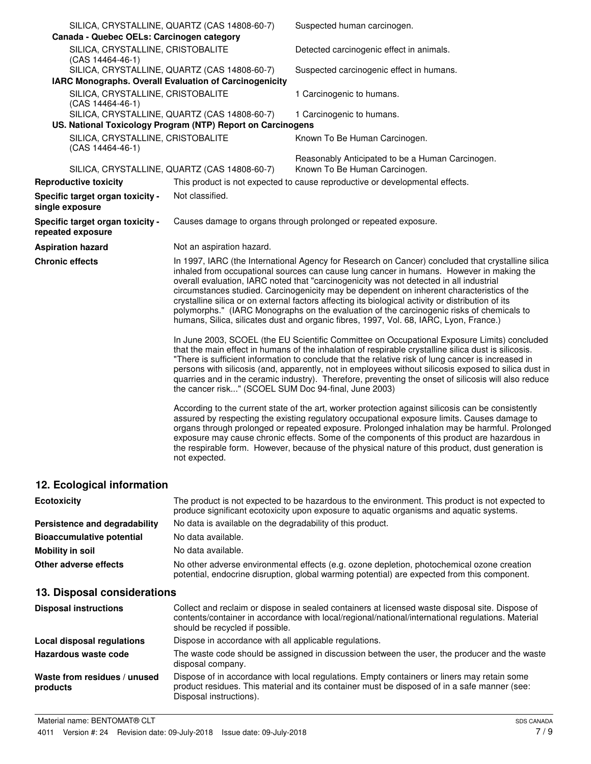| Canada - Quebec OELs: Carcinogen category              | SILICA, CRYSTALLINE, QUARTZ (CAS 14808-60-7)                                                                | Suspected human carcinogen.                                                                                                                                                                                                                                                                                                                                                                                                                                                                                                                                                                                                                                                         |
|--------------------------------------------------------|-------------------------------------------------------------------------------------------------------------|-------------------------------------------------------------------------------------------------------------------------------------------------------------------------------------------------------------------------------------------------------------------------------------------------------------------------------------------------------------------------------------------------------------------------------------------------------------------------------------------------------------------------------------------------------------------------------------------------------------------------------------------------------------------------------------|
| SILICA, CRYSTALLINE, CRISTOBALITE<br>(CAS 14464-46-1)  |                                                                                                             | Detected carcinogenic effect in animals.                                                                                                                                                                                                                                                                                                                                                                                                                                                                                                                                                                                                                                            |
|                                                        | SILICA, CRYSTALLINE, QUARTZ (CAS 14808-60-7)                                                                | Suspected carcinogenic effect in humans.                                                                                                                                                                                                                                                                                                                                                                                                                                                                                                                                                                                                                                            |
| IARC Monographs. Overall Evaluation of Carcinogenicity |                                                                                                             |                                                                                                                                                                                                                                                                                                                                                                                                                                                                                                                                                                                                                                                                                     |
| SILICA, CRYSTALLINE, CRISTOBALITE<br>(CAS 14464-46-1)  |                                                                                                             | 1 Carcinogenic to humans.                                                                                                                                                                                                                                                                                                                                                                                                                                                                                                                                                                                                                                                           |
|                                                        | SILICA, CRYSTALLINE, QUARTZ (CAS 14808-60-7)<br>US. National Toxicology Program (NTP) Report on Carcinogens | 1 Carcinogenic to humans.                                                                                                                                                                                                                                                                                                                                                                                                                                                                                                                                                                                                                                                           |
|                                                        |                                                                                                             |                                                                                                                                                                                                                                                                                                                                                                                                                                                                                                                                                                                                                                                                                     |
| SILICA, CRYSTALLINE, CRISTOBALITE<br>(CAS 14464-46-1)  |                                                                                                             | Known To Be Human Carcinogen.                                                                                                                                                                                                                                                                                                                                                                                                                                                                                                                                                                                                                                                       |
|                                                        | SILICA, CRYSTALLINE, QUARTZ (CAS 14808-60-7)                                                                | Reasonably Anticipated to be a Human Carcinogen.<br>Known To Be Human Carcinogen.                                                                                                                                                                                                                                                                                                                                                                                                                                                                                                                                                                                                   |
| <b>Reproductive toxicity</b>                           |                                                                                                             | This product is not expected to cause reproductive or developmental effects.                                                                                                                                                                                                                                                                                                                                                                                                                                                                                                                                                                                                        |
| Specific target organ toxicity -<br>single exposure    | Not classified.                                                                                             |                                                                                                                                                                                                                                                                                                                                                                                                                                                                                                                                                                                                                                                                                     |
| Specific target organ toxicity -<br>repeated exposure  |                                                                                                             | Causes damage to organs through prolonged or repeated exposure.                                                                                                                                                                                                                                                                                                                                                                                                                                                                                                                                                                                                                     |
| <b>Aspiration hazard</b>                               | Not an aspiration hazard.                                                                                   |                                                                                                                                                                                                                                                                                                                                                                                                                                                                                                                                                                                                                                                                                     |
| <b>Chronic effects</b>                                 |                                                                                                             | In 1997, IARC (the International Agency for Research on Cancer) concluded that crystalline silica<br>inhaled from occupational sources can cause lung cancer in humans. However in making the<br>overall evaluation, IARC noted that "carcinogenicity was not detected in all industrial<br>circumstances studied. Carcinogenicity may be dependent on inherent characteristics of the<br>crystalline silica or on external factors affecting its biological activity or distribution of its<br>polymorphs." (IARC Monographs on the evaluation of the carcinogenic risks of chemicals to<br>humans, Silica, silicates dust and organic fibres, 1997, Vol. 68, IARC, Lyon, France.) |
|                                                        | the cancer risk" (SCOEL SUM Doc 94-final, June 2003)                                                        | In June 2003, SCOEL (the EU Scientific Committee on Occupational Exposure Limits) concluded<br>that the main effect in humans of the inhalation of respirable crystalline silica dust is silicosis.<br>"There is sufficient information to conclude that the relative risk of lung cancer is increased in<br>persons with silicosis (and, apparently, not in employees without silicosis exposed to silica dust in<br>quarries and in the ceramic industry). Therefore, preventing the onset of silicosis will also reduce                                                                                                                                                          |
|                                                        | not expected.                                                                                               | According to the current state of the art, worker protection against silicosis can be consistently<br>assured by respecting the existing regulatory occupational exposure limits. Causes damage to<br>organs through prolonged or repeated exposure. Prolonged inhalation may be harmful. Prolonged<br>exposure may cause chronic effects. Some of the components of this product are hazardous in<br>the respirable form. However, because of the physical nature of this product, dust generation is                                                                                                                                                                              |
| 12. Ecological information                             |                                                                                                             |                                                                                                                                                                                                                                                                                                                                                                                                                                                                                                                                                                                                                                                                                     |

| <b>Ecotoxicity</b>               | The product is not expected to be hazardous to the environment. This product is not expected to<br>produce significant ecotoxicity upon exposure to aquatic organisms and aquatic systems. |
|----------------------------------|--------------------------------------------------------------------------------------------------------------------------------------------------------------------------------------------|
| Persistence and degradability    | No data is available on the degradability of this product.                                                                                                                                 |
| <b>Bioaccumulative potential</b> | No data available.                                                                                                                                                                         |
| Mobility in soil                 | No data available.                                                                                                                                                                         |
| Other adverse effects            | No other adverse environmental effects (e.g. ozone depletion, photochemical ozone creation<br>potential, endocrine disruption, global warming potential) are expected from this component. |

# **13. Disposal considerations**

| <b>Disposal instructions</b>             | Collect and reclaim or dispose in sealed containers at licensed waste disposal site. Dispose of<br>contents/container in accordance with local/regional/national/international regulations. Material<br>should be recycled if possible. |
|------------------------------------------|-----------------------------------------------------------------------------------------------------------------------------------------------------------------------------------------------------------------------------------------|
| Local disposal regulations               | Dispose in accordance with all applicable regulations.                                                                                                                                                                                  |
| Hazardous waste code                     | The waste code should be assigned in discussion between the user, the producer and the waste<br>disposal company.                                                                                                                       |
| Waste from residues / unused<br>products | Dispose of in accordance with local regulations. Empty containers or liners may retain some<br>product residues. This material and its container must be disposed of in a safe manner (see:<br>Disposal instructions).                  |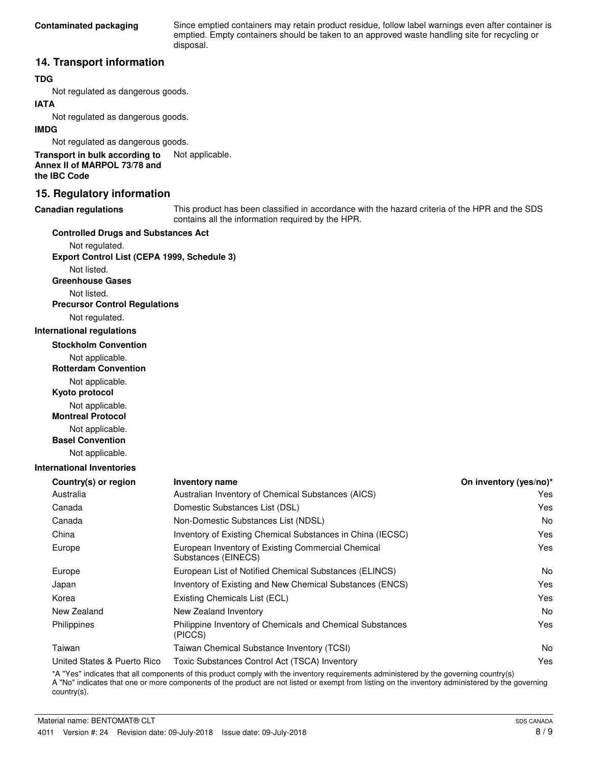Since emptied containers may retain product residue, follow label warnings even after container is emptied. Empty containers should be taken to an approved waste handling site for recycling or disposal.

### **14. Transport information**

#### **TDG**

Not regulated as dangerous goods.

#### **IATA**

Not regulated as dangerous goods.

#### **IMDG**

Not regulated as dangerous goods.

**Transport in bulk according to** Not applicable. **Annex II of MARPOL 73/78 and the IBC Code**

### **15. Regulatory information**

#### **Canadian regulations**

This product has been classified in accordance with the hazard criteria of the HPR and the SDS contains all the information required by the HPR.

#### **Controlled Drugs and Substances Act**

Not regulated. **Export Control List (CEPA 1999, Schedule 3)**

Not listed.

**Greenhouse Gases**

Not listed.

### **Precursor Control Regulations**

Not regulated.

#### **International regulations**

**Stockholm Convention**

Not applicable.

**Rotterdam Convention**

Not applicable.

**Kyoto protocol**

Not applicable.

**Montreal Protocol**

Not applicable.

**Basel Convention**

Not applicable.

#### **International Inventories**

| Inventory name                                                            | On inventory (yes/no)* |
|---------------------------------------------------------------------------|------------------------|
| Australian Inventory of Chemical Substances (AICS)                        | Yes                    |
| Domestic Substances List (DSL)                                            | Yes                    |
| Non-Domestic Substances List (NDSL)                                       | No                     |
| Inventory of Existing Chemical Substances in China (IECSC)                | Yes                    |
| European Inventory of Existing Commercial Chemical<br>Substances (EINECS) | Yes                    |
| European List of Notified Chemical Substances (ELINCS)                    | No                     |
| Inventory of Existing and New Chemical Substances (ENCS)                  | Yes                    |
| Existing Chemicals List (ECL)                                             | Yes                    |
| New Zealand Inventory                                                     | No                     |
| Philippine Inventory of Chemicals and Chemical Substances<br>(PICCS)      | Yes                    |
| Taiwan Chemical Substance Inventory (TCSI)                                | No                     |
| Toxic Substances Control Act (TSCA) Inventory                             | Yes                    |
|                                                                           |                        |

\*A "Yes" indicates that all components of this product comply with the inventory requirements administered by the governing country(s) A "No" indicates that one or more components of the product are not listed or exempt from listing on the inventory administered by the governing country(s).